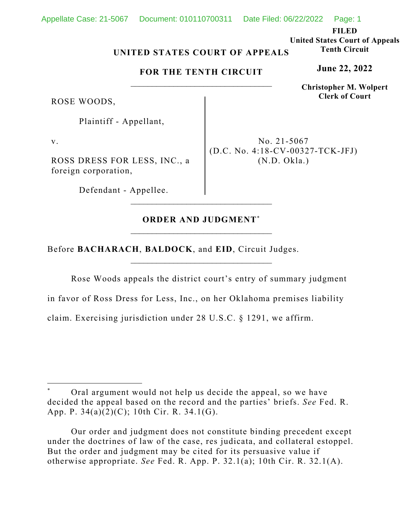### Appellate Case: 21-5067 Document: 010110700311 Date Filed: 06/22/2022 Page: 1

**FILED** 

**United States Court of Appeals Tenth Circuit** 

**June 22, 2022**

**Christopher M. Wolpert Clerk of Court**

## **UNITED STATES COURT OF APPEALS**

## **FOR THE TENTH CIRCUIT**

ROSE WOODS,

Plaintiff - Appellant,

v.

ROSS DRESS FOR LESS, INC., a foreign corporation,

Defendant - Appellee.

No. 21-5067 (D.C. No. 4:18-CV-00327-TCK-JFJ) (N.D. Okla.)

# **ORDER AND JUDGMENT**\*

\_\_\_\_\_\_\_\_\_\_\_\_\_\_\_\_\_\_\_\_\_\_\_\_\_\_\_\_\_\_\_\_\_

Before **BACHARACH**, **BALDOCK**, and **EID**, Circuit Judges.

Rose Woods appeals the district court's entry of summary judgment

in favor of Ross Dress for Less, Inc., on her Oklahoma premises liability

claim. Exercising jurisdiction under 28 U.S.C. § 1291, we affirm.

Oral argument would not help us decide the appeal, so we have decided the appeal based on the record and the parties' briefs. *See* Fed. R. App. P. 34(a)(2)(C); 10th Cir. R. 34.1(G).

Our order and judgment does not constitute binding precedent except under the doctrines of law of the case, res judicata, and collateral estoppel. But the order and judgment may be cited for its persuasive value if otherwise appropriate. *See* Fed. R. App. P. 32.1(a); 10th Cir. R. 32.1(A).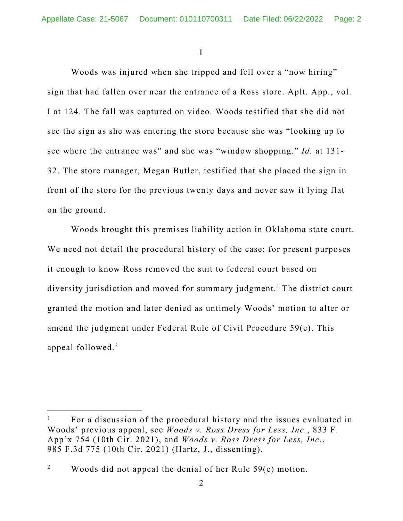I

Woods was injured when she tripped and fell over a "now hiring" sign that had fallen over near the entrance of a Ross store. Aplt. App., vol. I at 124. The fall was captured on video. Woods testified that she did not see the sign as she was entering the store because she was "looking up to see where the entrance was" and she was "window shopping." *Id.* at 131- 32. The store manager, Megan Butler, testified that she placed the sign in front of the store for the previous twenty days and never saw it lying flat on the ground.

 Woods brought this premises liability action in Oklahoma state court. We need not detail the procedural history of the case; for present purposes it enough to know Ross removed the suit to federal court based on diversity jurisdiction and moved for summary judgment.<sup>1</sup> The district court granted the motion and later denied as untimely Woods' motion to alter or amend the judgment under Federal Rule of Civil Procedure 59(e). This appeal followed.<sup>2</sup>

<sup>1</sup> For a discussion of the procedural history and the issues evaluated in Woods' previous appeal, see *Woods v. Ross Dress for Less, Inc.*, 833 F. App'x 754 (10th Cir. 2021), and *Woods v. Ross Dress for Less, Inc.*, 985 F.3d 775 (10th Cir. 2021) (Hartz, J., dissenting).

<sup>2</sup> Woods did not appeal the denial of her Rule 59(e) motion.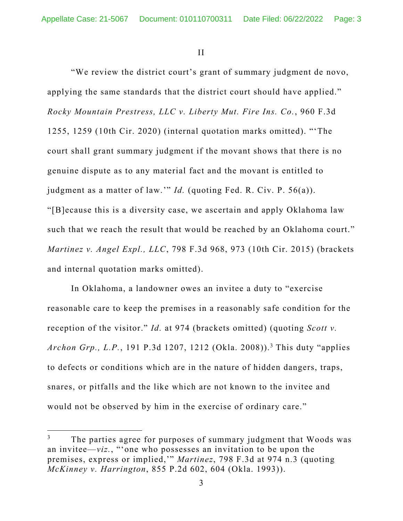II

 "We review the district court's grant of summary judgment de novo, applying the same standards that the district court should have applied." *Rocky Mountain Prestress, LLC v. Liberty Mut. Fire Ins. Co.*, 960 F.3d 1255, 1259 (10th Cir. 2020) (internal quotation marks omitted). "'The court shall grant summary judgment if the movant shows that there is no genuine dispute as to any material fact and the movant is entitled to judgment as a matter of law.'" *Id.* (quoting Fed. R. Civ. P. 56(a)). "[B]ecause this is a diversity case, we ascertain and apply Oklahoma law such that we reach the result that would be reached by an Oklahoma court." *Martinez v. Angel Expl., LLC*, 798 F.3d 968, 973 (10th Cir. 2015) (brackets and internal quotation marks omitted).

 In Oklahoma, a landowner owes an invitee a duty to "exercise reasonable care to keep the premises in a reasonably safe condition for the reception of the visitor." *Id.* at 974 (brackets omitted) (quoting *Scott v.*  Archon Grp., L.P., 191 P.3d 1207, 1212 (Okla. 2008)).<sup>3</sup> This duty "applies to defects or conditions which are in the nature of hidden dangers, traps, snares, or pitfalls and the like which are not known to the invitee and would not be observed by him in the exercise of ordinary care."

<sup>3</sup> The parties agree for purposes of summary judgment that Woods was an invitee—*viz.*, "'one who possesses an invitation to be upon the premises, express or implied,'" *Martinez*, 798 F.3d at 974 n.3 (quoting *McKinney v. Harrington*, 855 P.2d 602, 604 (Okla. 1993)).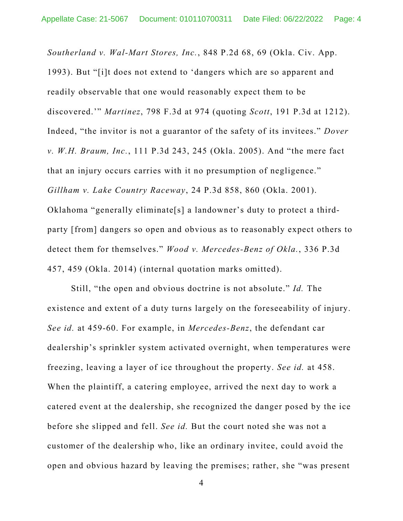*Southerland v. Wal-Mart Stores, Inc.*, 848 P.2d 68, 69 (Okla. Civ. App. 1993). But "[i]t does not extend to 'dangers which are so apparent and readily observable that one would reasonably expect them to be discovered.'" *Martinez*, 798 F.3d at 974 (quoting *Scott*, 191 P.3d at 1212). Indeed, "the invitor is not a guarantor of the safety of its invitees." *Dover v. W.H. Braum, Inc.*, 111 P.3d 243, 245 (Okla. 2005). And "the mere fact that an injury occurs carries with it no presumption of negligence." *Gillham v. Lake Country Raceway*, 24 P.3d 858, 860 (Okla. 2001). Oklahoma "generally eliminate[s] a landowner's duty to protect a thirdparty [from] dangers so open and obvious as to reasonably expect others to detect them for themselves." *Wood v. Mercedes-Benz of Okla.*, 336 P.3d 457, 459 (Okla. 2014) (internal quotation marks omitted).

Still, "the open and obvious doctrine is not absolute." *Id.* The existence and extent of a duty turns largely on the foreseeability of injury. *See id.* at 459-60. For example, in *Mercedes-Benz*, the defendant car dealership's sprinkler system activated overnight, when temperatures were freezing, leaving a layer of ice throughout the property. *See id.* at 458. When the plaintiff, a catering employee, arrived the next day to work a catered event at the dealership, she recognized the danger posed by the ice before she slipped and fell. *See id.* But the court noted she was not a customer of the dealership who, like an ordinary invitee, could avoid the open and obvious hazard by leaving the premises; rather, she "was present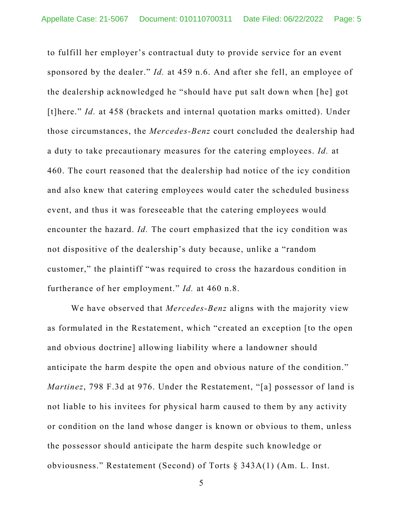to fulfill her employer's contractual duty to provide service for an event sponsored by the dealer." *Id.* at 459 n.6. And after she fell, an employee of the dealership acknowledged he "should have put salt down when [he] got [t]here." *Id.* at 458 (brackets and internal quotation marks omitted). Under those circumstances, the *Mercedes-Benz* court concluded the dealership had a duty to take precautionary measures for the catering employees. *Id.* at 460. The court reasoned that the dealership had notice of the icy condition and also knew that catering employees would cater the scheduled business event, and thus it was foreseeable that the catering employees would encounter the hazard. *Id.* The court emphasized that the icy condition was not dispositive of the dealership's duty because, unlike a "random customer," the plaintiff "was required to cross the hazardous condition in furtherance of her employment." *Id.* at 460 n.8.

We have observed that *Mercedes-Benz* aligns with the majority view as formulated in the Restatement, which "created an exception [to the open and obvious doctrine] allowing liability where a landowner should anticipate the harm despite the open and obvious nature of the condition." *Martinez*, 798 F.3d at 976. Under the Restatement, "[a] possessor of land is not liable to his invitees for physical harm caused to them by any activity or condition on the land whose danger is known or obvious to them, unless the possessor should anticipate the harm despite such knowledge or obviousness." Restatement (Second) of Torts § 343A(1) (Am. L. Inst.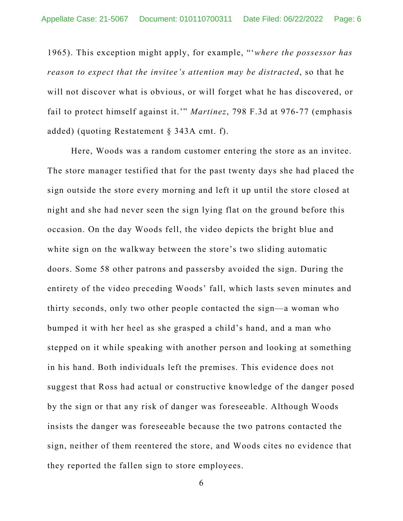1965). This exception might apply, for example, "'*where the possessor has reason to expect that the invitee's attention may be distracted*, so that he will not discover what is obvious, or will forget what he has discovered, or fail to protect himself against it.'" *Martinez*, 798 F.3d at 976-77 (emphasis added) (quoting Restatement § 343A cmt. f).

Here, Woods was a random customer entering the store as an invitee. The store manager testified that for the past twenty days she had placed the sign outside the store every morning and left it up until the store closed at night and she had never seen the sign lying flat on the ground before this occasion. On the day Woods fell, the video depicts the bright blue and white sign on the walkway between the store's two sliding automatic doors. Some 58 other patrons and passersby avoided the sign. During the entirety of the video preceding Woods' fall, which lasts seven minutes and thirty seconds, only two other people contacted the sign—a woman who bumped it with her heel as she grasped a child's hand, and a man who stepped on it while speaking with another person and looking at something in his hand. Both individuals left the premises. This evidence does not suggest that Ross had actual or constructive knowledge of the danger posed by the sign or that any risk of danger was foreseeable. Although Woods insists the danger was foreseeable because the two patrons contacted the sign, neither of them reentered the store, and Woods cites no evidence that they reported the fallen sign to store employees.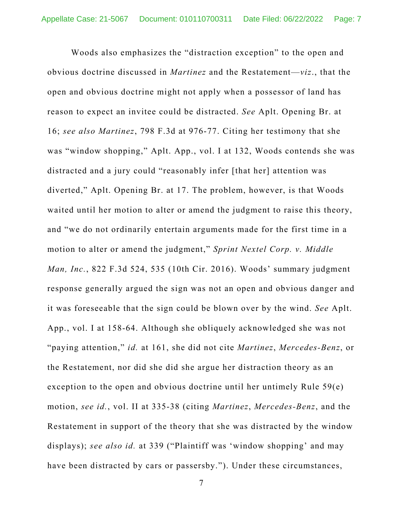Woods also emphasizes the "distraction exception" to the open and obvious doctrine discussed in *Martinez* and the Restatement—*viz*., that the open and obvious doctrine might not apply when a possessor of land has reason to expect an invitee could be distracted. *See* Aplt. Opening Br. at 16; *see also Martinez*, 798 F.3d at 976-77. Citing her testimony that she was "window shopping," Aplt. App., vol. I at 132, Woods contends she was distracted and a jury could "reasonably infer [that her] attention was diverted," Aplt. Opening Br. at 17. The problem, however, is that Woods waited until her motion to alter or amend the judgment to raise this theory, and "we do not ordinarily entertain arguments made for the first time in a motion to alter or amend the judgment," *Sprint Nextel Corp. v. Middle Man, Inc.*, 822 F.3d 524, 535 (10th Cir. 2016). Woods' summary judgment response generally argued the sign was not an open and obvious danger and it was foreseeable that the sign could be blown over by the wind. *See* Aplt. App., vol. I at 158-64. Although she obliquely acknowledged she was not "paying attention," *id.* at 161, she did not cite *Martinez*, *Mercedes-Benz*, or the Restatement, nor did she did she argue her distraction theory as an exception to the open and obvious doctrine until her untimely Rule 59(e) motion, *see id.*, vol. II at 335-38 (citing *Martinez*, *Mercedes-Benz*, and the Restatement in support of the theory that she was distracted by the window displays); *see also id.* at 339 ("Plaintiff was 'window shopping' and may have been distracted by cars or passersby."). Under these circumstances,